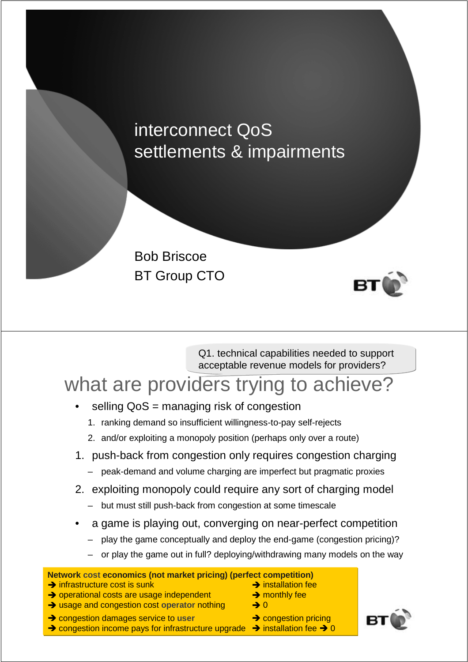## interconnect QoS settlements & impairments





Q1. technical capabilities needed to support acceptable revenue models for providers?

## what are providers trying to achieve?

- selling QoS = managing risk of congestion
	- 1. ranking demand so insufficient willingness-to-pay self-rejects
	- 2. and/or exploiting a monopoly position (perhaps only over a route)
- 1. push-back from congestion only requires congestion charging
	- peak-demand and volume charging are imperfect but pragmatic proxies
- 2. exploiting monopoly could require any sort of charging model
	- but must still push-back from congestion at some timescale
- a game is playing out, converging on near-perfect competition
	- play the game conceptually and deploy the end-game (congestion pricing)?
	- or play the game out in full? deploying/withdrawing many models on the way

#### **Network cost economics (not market pricing) (perfect competition)**

- $\rightarrow$  infrastructure cost is sunk  $\rightarrow$  installation fee
- $\rightarrow$  operational costs are usage independent  $\rightarrow$  monthly fee
- → usage and congestion cost operator nothing → 0
- → congestion damages service to user **→** congestion pricing

 $\rightarrow$  congestion income pays for infrastructure upgrade  $\rightarrow$  installation fee  $\rightarrow$  0

- 
- 
- 
- -

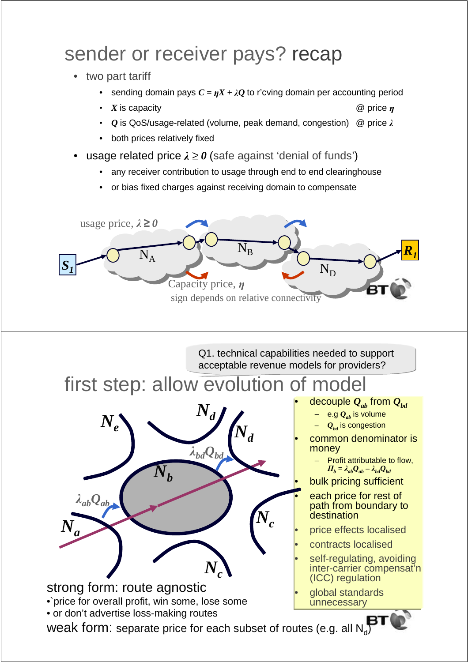# sender or receiver pays? recap

- two part tariff
	- sending domain pays  $C = nX + \lambda O$  to r'cving domain per accounting period
	- *X* is capacity @ price η
	- *Q* is QoS/usage-related (volume, peak demand, congestion) @ price  $λ$
	- both prices relatively fixed
- **usage related price**  $\lambda \ge 0$  **(safe against 'denial of funds')** 
	- any receiver contribution to usage through end to end clearinghouse
	- or bias fixed charges against receiving domain to compensate



Q1. technical capabilities needed to support acceptable revenue models for providers?

## first step: allow evolution of model



decouple  $Q_{ab}$  from  $Q_{bd}$ 

- e.g  $Q_{ab}$  is volume
- $Q_{bd}$  is congestion

• common denominator is money

– Profit attributable to flow,  $\Pi_b = \lambda_{ab}Q_{ab} - \lambda_{bd}Q_{bd}$ 

bulk pricing sufficient

each price for rest of path from boundary to **destination** 

- price effects localised
- contracts localised
- self-regulating, avoiding inter-carrier compensat'n (ICC) regulation
- global standards unnecessary

weak form: separate price for each subset of routes (e.g. all  $\mathsf{N_d}\!)$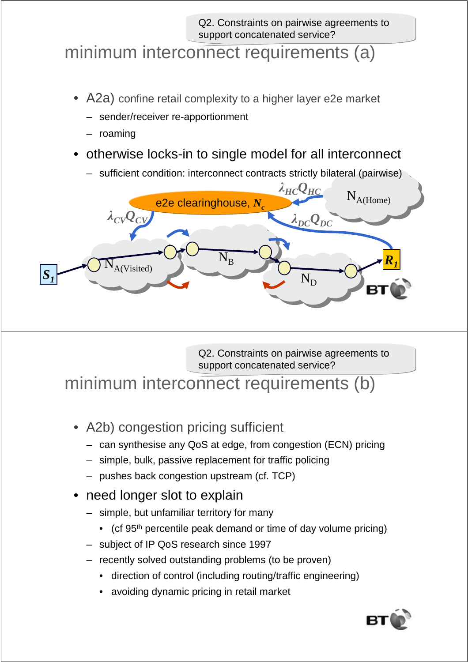Q2. Constraints on pairwise agreements to support concatenated service?

#### minimum interconnect requirements (a)

- A2a) confine retail complexity to a higher layer e2e market
	- sender/receiver re-apportionment
	- roaming
- otherwise locks-in to single model for all interconnect
	- sufficient condition: interconnect contracts strictly bilateral (pairwise)



Q2. Constraints on pairwise agreements to support concatenated service?

minimum interconnect requirements (b)

- A2b) congestion pricing sufficient
	- can synthesise any QoS at edge, from congestion (ECN) pricing
	- simple, bulk, passive replacement for traffic policing
	- pushes back congestion upstream (cf. TCP)
- need longer slot to explain
	- simple, but unfamiliar territory for many
		- (cf 95<sup>th</sup> percentile peak demand or time of day volume pricing)
	- subject of IP QoS research since 1997
	- recently solved outstanding problems (to be proven)
		- direction of control (including routing/traffic engineering)
		- avoiding dynamic pricing in retail market

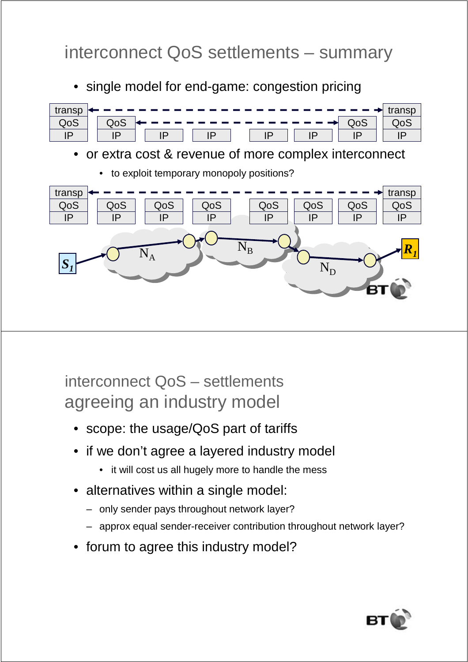## interconnect QoS settlements – summary

• single model for end-game: congestion pricing



interconnect QoS – settlements agreeing an industry model

- scope: the usage/QoS part of tariffs
- if we don't agree a layered industry model
	- it will cost us all hugely more to handle the mess
- alternatives within a single model:
	- only sender pays throughout network layer?
	- approx equal sender-receiver contribution throughout network layer?
- forum to agree this industry model?